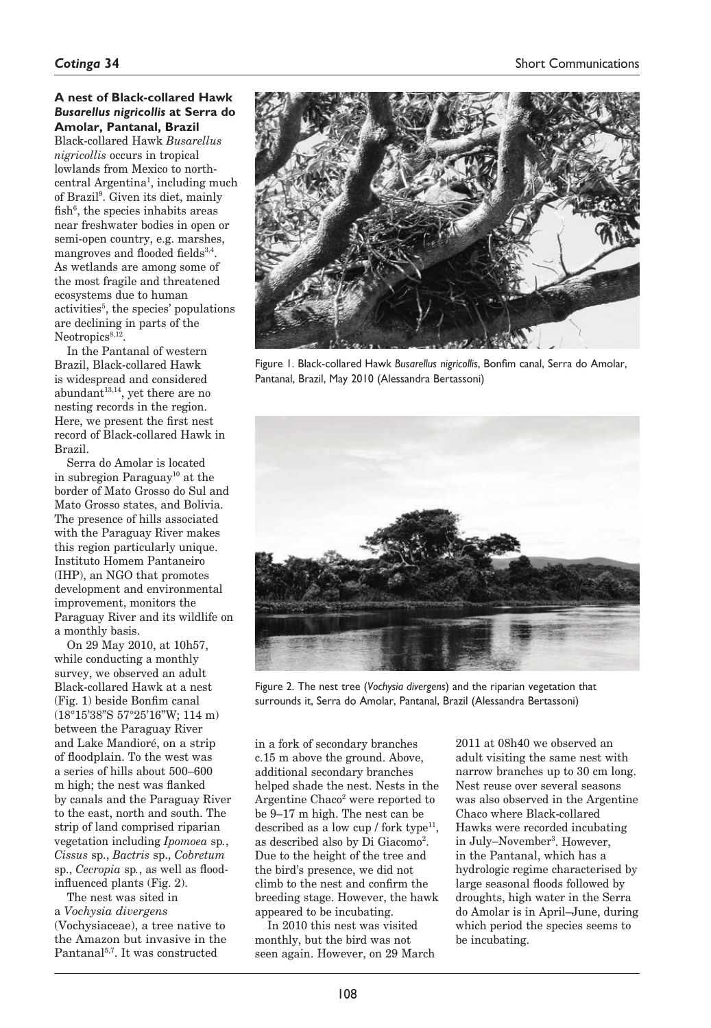### **A nest of Black-collared Hawk**  *Busarellus nigricollis* **at Serra do Amolar, Pantanal, Brazil** Black-collared Hawk *Busarellus nigricollis* occurs in tropical lowlands from Mexico to northcentral Argentina<sup>1</sup>, including much of Brazil9 . Given its diet, mainly fish<sup>6</sup>, the species inhabits areas near freshwater bodies in open or semi-open country, e.g. marshes, mangroves and flooded fields<sup>3,4</sup>. As wetlands are among some of the most fragile and threatened ecosystems due to human activities<sup>5</sup>, the species' populations are declining in parts of the  $Neotropics<sup>8,12</sup>$

In the Pantanal of western Brazil, Black-collared Hawk is widespread and considered abundant $13,14$ , yet there are no nesting records in the region. Here, we present the first nest record of Black-collared Hawk in Brazil.

Serra do Amolar is located in subregion Paraguay10 at the border of Mato Grosso do Sul and Mato Grosso states, and Bolivia. The presence of hills associated with the Paraguay River makes this region particularly unique. Instituto Homem Pantaneiro (IHP), an NGO that promotes development and environmental improvement, monitors the Paraguay River and its wildlife on a monthly basis.

On 29 May 2010, at 10h57, while conducting a monthly survey, we observed an adult Black-collared Hawk at a nest (Fig. 1) beside Bonfim canal (18°15'38"S 57°25'16"W; 114 m) between the Paraguay River and Lake Mandioré, on a strip of floodplain. To the west was a series of hills about 500–600 m high; the nest was flanked by canals and the Paraguay River to the east, north and south. The strip of land comprised riparian vegetation including *Ipomoea* sp*.*, *Cissus* sp., *Bactris* sp., *Cobretum* sp., *Cecropia* sp*.*, as well as floodinfluenced plants (Fig. 2).

The nest was sited in a *Vochysia divergens* (Vochysiaceae), a tree native to the Amazon but invasive in the Pantanal5,7. It was constructed



Figure 1. Black-collared Hawk *Busarellus nigricollis*, Bonfim canal, Serra do Amolar, Pantanal, Brazil, May 2010 (Alessandra Bertassoni)



Figure 2. The nest tree (*Vochysia divergens*) and the riparian vegetation that surrounds it, Serra do Amolar, Pantanal, Brazil (Alessandra Bertassoni)

in a fork of secondary branches c.15 m above the ground. Above, additional secondary branches helped shade the nest. Nests in the Argentine Chaco<sup>2</sup> were reported to be 9–17 m high. The nest can be described as a low cup  $/$  fork type<sup>11</sup>. as described also by Di Giacomo2 . Due to the height of the tree and the bird's presence, we did not climb to the nest and confirm the breeding stage. However, the hawk appeared to be incubating.

In 2010 this nest was visited monthly, but the bird was not seen again. However, on 29 March 2011 at 08h40 we observed an adult visiting the same nest with narrow branches up to 30 cm long. Nest reuse over several seasons was also observed in the Argentine Chaco where Black-collared Hawks were recorded incubating in July–November<sup>3</sup>. However, in the Pantanal, which has a hydrologic regime characterised by large seasonal floods followed by droughts, high water in the Serra do Amolar is in April–June, during which period the species seems to be incubating.